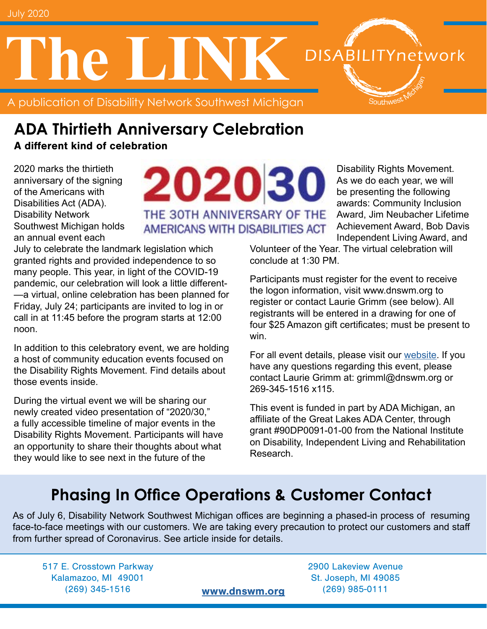A publication of Disability Network Southwest Michigan **The LINK**



A different kind of celebration

2020 marks the thirtieth anniversary of the signing of the Americans with Disabilities Act (ADA). Disability Network Southwest Michigan holds an annual event each

202030 THE 30TH ANNIVERSARY OF THE AMERICANS WITH DISABILITIES ACT

July to celebrate the landmark legislation which granted rights and provided independence to so many people. This year, in light of the COVID-19 pandemic, our celebration will look a little different- —a virtual, online celebration has been planned for Friday, July 24; participants are invited to log in or call in at 11:45 before the program starts at 12:00 noon.

In addition to this celebratory event, we are holding a host of community education events focused on the Disability Rights Movement. Find details about those events inside.

During the virtual event we will be sharing our newly created video presentation of "2020/30," a fully accessible timeline of major events in the Disability Rights Movement. Participants will have an opportunity to share their thoughts about what they would like to see next in the future of the

Disability Rights Movement. As we do each year, we will be presenting the following awards: Community Inclusion Award, Jim Neubacher Lifetime Achievement Award, Bob Davis Independent Living Award, and

**DISABILITYnetwork** 

Southwest

Volunteer of the Year. The virtual celebration will conclude at 1:30 PM.

Participants must register for the event to receive the logon information, visit www.dnswm.org to register or contact Laurie Grimm (see below). All registrants will be entered in a drawing for one of four \$25 Amazon gift certificates; must be present to win.

For all event details, please visit our [website.](http://www.dnswm.org/ada-30th-anniversary-celebration/) If you have any questions regarding this event, please contact Laurie Grimm at: grimml@dnswm.org or 269-345-1516 x115.

This event is funded in part by ADA Michigan, an affiliate of the Great Lakes ADA Center, through grant #90DP0091-01-00 from the National Institute on Disability, Independent Living and Rehabilitation Research.

## **Phasing In Office Operations & Customer Contact**

As of July 6, Disability Network Southwest Michigan offices are beginning a phased-in process of resuming face-to-face meetings with our customers. We are taking every precaution to protect our customers and staff from further spread of Coronavirus. See article inside for details.

517 E. Crosstown Parkway 2900 Lakeview Avenue Kalamazoo, MI 49001 St. Joseph, MI 49085 (269) 345-1516 [www.dnswm.org](http://www.dnswm.org) (269) 985-0111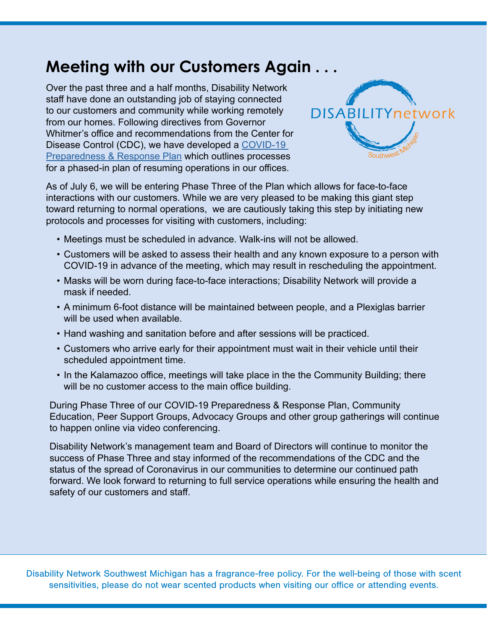## **Meeting with our Customers Again . . .**

Over the past three and a half months, Disability Network staff have done an outstanding job of staying connected to our customers and community while working remotely from our homes. Following directives from Governor Whitmer's office and recommendations from the Center for Disease Control (CDC), we have developed a [COVID-19](http://www.dnswm.org/wp-content/uploads/COVID-19-Prepardness-and-Response-Plan-June-17-2020.pdf)  **[Preparedness & Response Plan](http://www.dnswm.org/wp-content/uploads/COVID-19-Prepardness-and-Response-Plan-June-17-2020.pdf) which outlines processes** for a phased-in plan of resuming operations in our offices.



As of July 6, we will be entering Phase Three of the Plan which allows for face-to-face interactions with our customers. While we are very pleased to be making this giant step toward returning to normal operations, we are cautiously taking this step by initiating new protocols and processes for visiting with customers, including:

- Meetings must be scheduled in advance. Walk-ins will not be allowed.
- Customers will be asked to assess their health and any known exposure to a person with COVID-19 in advance of the meeting, which may result in rescheduling the appointment.
- Masks will be worn during face-to-face interactions; Disability Network will provide a mask if needed.
- A minimum 6-foot distance will be maintained between people, and a Plexiglas barrier will be used when available.
- Hand washing and sanitation before and after sessions will be practiced.
- Customers who arrive early for their appointment must wait in their vehicle until their scheduled appointment time.
- In the Kalamazoo office, meetings will take place in the the Community Building; there will be no customer access to the main office building.

During Phase Three of our COVID-19 Preparedness & Response Plan, Community Education, Peer Support Groups, Advocacy Groups and other group gatherings will continue to happen online via video conferencing.

Disability Network's management team and Board of Directors will continue to monitor the success of Phase Three and stay informed of the recommendations of the CDC and the status of the spread of Coronavirus in our communities to determine our continued path forward. We look forward to returning to full service operations while ensuring the health and safety of our customers and staff.

Disability Network Southwest Michigan has a fragrance-free policy. For the well-being of those with scent sensitivities, please do not wear scented products when visiting our office or attending events.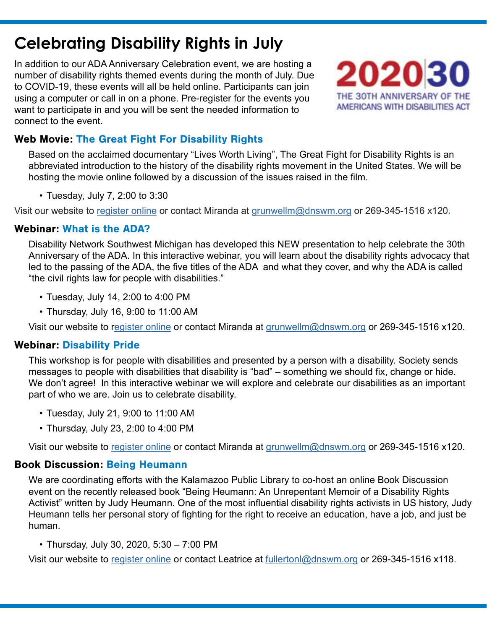## **Celebrating Disability Rights in July**

In addition to our ADA Anniversary Celebration event, we are hosting a number of disability rights themed events during the month of July. Due to COVID-19, these events will all be held online. Participants can join using a computer or call in on a phone. Pre-register for the events you want to participate in and you will be sent the needed information to connect to the event.



#### Web Movie: The Great Fight For Disability Rights

Based on the acclaimed documentary "Lives Worth Living", The Great Fight for Disability Rights is an abbreviated introduction to the history of the disability rights movement in the United States. We will be hosting the movie online followed by a discussion of the issues raised in the film.

• Tuesday, July 7, 2:00 to 3:30

Visit our website to [register online](http://www.dnswm.org/great-fight-2020/) or contact Miranda at [grunwellm@dnswm.org](mailto:grunwellm%40dnswm.org?subject=) or 269-345-1516 x120**.**

#### Webinar: What is the ADA?

Disability Network Southwest Michigan has developed this NEW presentation to help celebrate the 30th Anniversary of the ADA. In this interactive webinar, you will learn about the disability rights advocacy that led to the passing of the ADA, the five titles of the ADA and what they cover, and why the ADA is called "the civil rights law for people with disabilities."

- Tuesday, July 14, 2:00 to 4:00 PM
- Thursday, July 16, 9:00 to 11:00 AM

Visit our website to r[egister online](http://www.dnswm.org/webinar-what-is-the-ada/) or contact Miranda at [grunwellm@dnswm.org](mailto:grunwellm%40dnswm.org?subject=) or 269-345-1516 x120.

#### Webinar: Disability Pride

This workshop is for people with disabilities and presented by a person with a disability. Society sends messages to people with disabilities that disability is "bad" – something we should fix, change or hide. We don't agree! In this interactive webinar we will explore and celebrate our disabilities as an important part of who we are. Join us to celebrate disability.

- Tuesday, July 21, 9:00 to 11:00 AM
- Thursday, July 23, 2:00 to 4:00 PM

Visit our website to [register online](http://www.dnswm.org/disability-pride-2020/) or contact Miranda at [grunwellm@dnswm.org](mailto:grunwellm%40dnswm.org?subject=) or 269-345-1516 x120.

#### Book Discussion: Being Heumann

We are coordinating efforts with the Kalamazoo Public Library to co-host an online Book Discussion event on the recently released book "Being Heumann: An Unrepentant Memoir of a Disability Rights Activist" written by Judy Heumann. One of the most influential disability rights activists in US history, Judy Heumann tells her personal story of fighting for the right to receive an education, have a job, and just be human.

• Thursday, July 30, 2020, 5:30 – 7:00 PM

Visit our website to [register online](http://www.dnswm.org/book-discussion-being-heumann/) or contact Leatrice at [fullertonl@dnswm.org](mailto:fullertonl%40dnswm.org?subject=) or 269-345-1516 x118.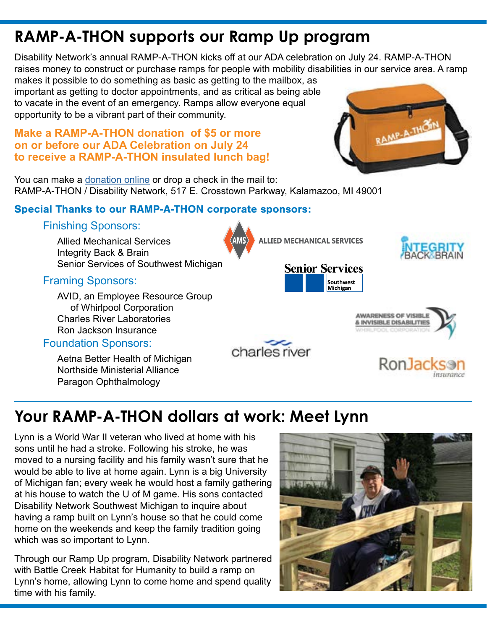## **RAMP-A-THON supports our Ramp Up program**

Disability Network's annual RAMP-A-THON kicks off at our ADA celebration on July 24. RAMP-A-THON raises money to construct or purchase ramps for people with mobility disabilities in our service area. A ramp

makes it possible to do something as basic as getting to the mailbox, as important as getting to doctor appointments, and as critical as being able to vacate in the event of an emergency. Ramps allow everyone equal opportunity to be a vibrant part of their community.

#### **Make a RAMP-A-THON donation of \$5 or more on or before our ADA Celebration on July 24 to receive a RAMP-A-THON insulated lunch bag!**

You can make a [donation online](http://www.dnswm.org/about-us/our-stories/) or drop a check in the mail to: RAMP-A-THON / Disability Network, 517 E. Crosstown Parkway, Kalamazoo, MI 49001

#### Special Thanks to our RAMP-A-THON corporate sponsors:

#### Finishing Sponsors:

Allied Mechanical Services Integrity Back & Brain Senior Services of Southwest Michigan

#### Framing Sponsors:

 AVID, an Employee Resource Group of Whirlpool Corporation Charles River Laboratories Ron Jackson Insurance

#### Foundation Sponsors:

 Aetna Better Health of Michigan Northside Ministerial Alliance Paragon Ophthalmology

# charles river

## **Your RAMP-A-THON dollars at work: Meet Lynn**

Lynn is a World War II veteran who lived at home with his sons until he had a stroke. Following his stroke, he was moved to a nursing facility and his family wasn't sure that he would be able to live at home again. Lynn is a big University of Michigan fan; every week he would host a family gathering at his house to watch the U of M game. His sons contacted Disability Network Southwest Michigan to inquire about having a ramp built on Lynn's house so that he could come home on the weekends and keep the family tradition going which was so important to Lynn.

Through our Ramp Up program, Disability Network partnered with Battle Creek Habitat for Humanity to build a ramp on Lynn's home, allowing Lynn to come home and spend quality time with his family.







**ALLIED MECHANICAL SERVICES** 





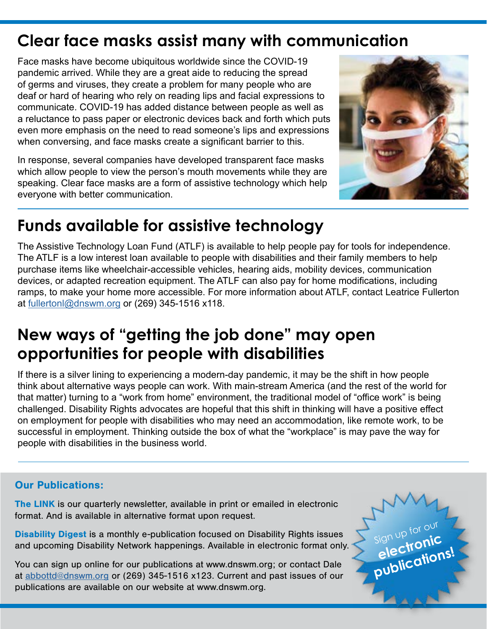## **Clear face masks assist many with communication**

Face masks have become ubiquitous worldwide since the COVID-19 pandemic arrived. While they are a great aide to reducing the spread of germs and viruses, they create a problem for many people who are deaf or hard of hearing who rely on reading lips and facial expressions to communicate. COVID-19 has added distance between people as well as a reluctance to pass paper or electronic devices back and forth which puts even more emphasis on the need to read someone's lips and expressions when conversing, and face masks create a significant barrier to this.

In response, several companies have developed transparent face masks which allow people to view the person's mouth movements while they are speaking. Clear face masks are a form of assistive technology which help everyone with better communication.



## **Funds available for assistive technology**

The Assistive Technology Loan Fund (ATLF) is available to help people pay for tools for independence. The ATLF is a low interest loan available to people with disabilities and their family members to help purchase items like wheelchair-accessible vehicles, hearing aids, mobility devices, communication devices, or adapted recreation equipment. The ATLF can also pay for home modifications, including ramps, to make your home more accessible. For more information about ATLF, contact Leatrice Fullerton at [fullertonl@dnswm.org](mailto:fullertonl%40dnswm.org?subject=) or (269) 345-1516 x118.

## **New ways of "getting the job done" may open opportunities for people with disabilities**

If there is a silver lining to experiencing a modern-day pandemic, it may be the shift in how people think about alternative ways people can work. With main-stream America (and the rest of the world for that matter) turning to a "work from home" environment, the traditional model of "office work" is being challenged. Disability Rights advocates are hopeful that this shift in thinking will have a positive effect on employment for people with disabilities who may need an accommodation, like remote work, to be successful in employment. Thinking outside the box of what the "workplace" is may pave the way for people with disabilities in the business world.

#### Our Publications:

The LINK is our quarterly newsletter, available in print or emailed in electronic format. And is available in alternative format upon request.

Disability Digest is a monthly e-publication focused on Disability Rights issues and upcoming Disability Network happenings. Available in electronic format only.

You can sign up online for our publications at www.dnswm.org; or contact Dale at [abbottd@dnswm.org](mailto:abbottd%40dnswm.org?subject=) or (269) 345-1516 x123. Current and past issues of our publications are available on our website at www.dnswm.org.